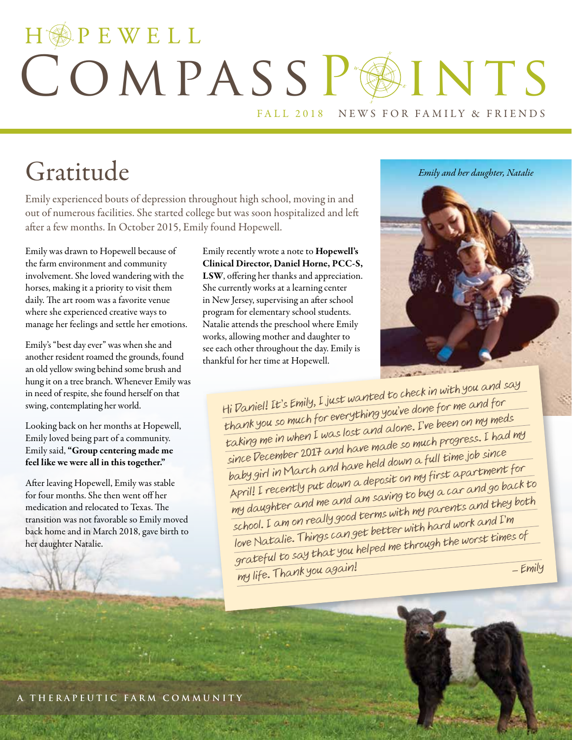# HOPEWELL COMPASSP@INTS FALL 2018 NEWS FOR FAMILY & FRIENDS

# Gratitude

Emily experienced bouts of depression throughout high school, moving in and out of numerous facilities. She started college but was soon hospitalized and left after a few months. In October 2015, Emily found Hopewell.

Emily was drawn to Hopewell because of the farm environment and community involvement. She loved wandering with the horses, making it a priority to visit them daily. The art room was a favorite venue where she experienced creative ways to manage her feelings and settle her emotions.

Emily's "best day ever" was when she and another resident roamed the grounds, found an old yellow swing behind some brush and hung it on a tree branch. Whenever Emily was in need of respite, she found herself on that swing, contemplating her world.

Looking back on her months at Hopewell, Emily loved being part of a community. Emily said, "Group centering made me feel like we were all in this together."

After leaving Hopewell, Emily was stable for four months. She then went off her medication and relocated to Texas. The transition was not favorable so Emily moved back home and in March 2018, gave birth to her daughter Natalie.

Emily recently wrote a note to Hopewell's Clinical Director, Daniel Horne, PCC-S, LSW, offering her thanks and appreciation. She currently works at a learning center in New Jersey, supervising an after school program for elementary school students. Natalie attends the preschool where Emily works, allowing mother and daughter to see each other throughout the day. Emily is thankful for her time at Hopewell.





Hi Daniel! It's Emily, I just wanted to check in with you and say thank you so much for everything you've done for me and for taking me in when I was lost and alone. I've been on my meds since December 2017 and have made so much progress. I had my baby girl in March and have held down a full time job since April! I recently put down a deposit on my first apartment for my daughter and me and am saving to buy a car and go back to school. I am on really good terms with my parents and they both love Natalie. Things can get better with hard work and I'm grateful to say that you helped me through the worst times of my life. Thank you again! – Emily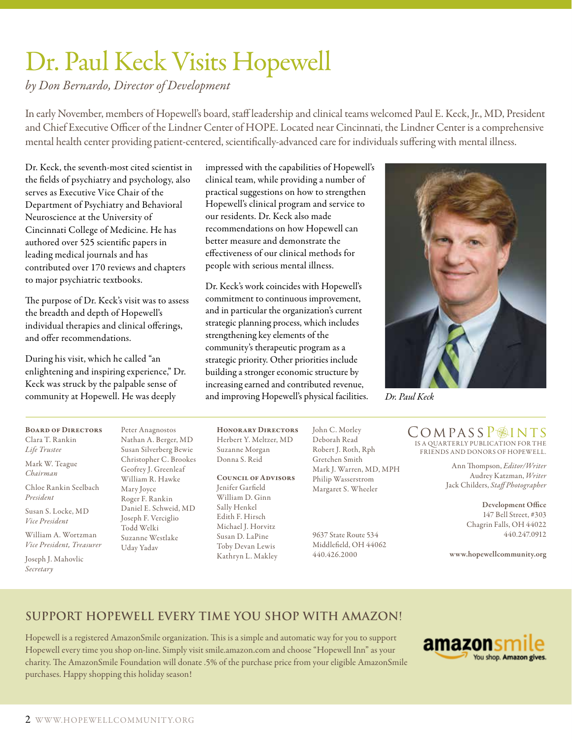# Dr. Paul Keck Visits Hopewell

*by Don Bernardo, Director of Development*

In early November, members of Hopewell's board, staff leadership and clinical teams welcomed Paul E. Keck, Jr., MD, President and Chief Executive Officer of the Lindner Center of HOPE. Located near Cincinnati, the Lindner Center is a comprehensive mental health center providing patient-centered, scientifically-advanced care for individuals suffering with mental illness.

Dr. Keck, the seventh-most cited scientist in the fields of psychiatry and psychology, also serves as Executive Vice Chair of the Department of Psychiatry and Behavioral Neuroscience at the University of Cincinnati College of Medicine. He has authored over 525 scientific papers in leading medical journals and has contributed over 170 reviews and chapters to major psychiatric textbooks.

The purpose of Dr. Keck's visit was to assess the breadth and depth of Hopewell's individual therapies and clinical offerings, and offer recommendations.

During his visit, which he called "an enlightening and inspiring experience," Dr. Keck was struck by the palpable sense of community at Hopewell. He was deeply

Board of Directors Clara T. Rankin *Life Trustee*

Mark W. Teague *Chairman*

Chloe Rankin Seelbach *President*

Susan S. Locke, MD *Vice President*

William A. Wortzman *Vice President, Treasurer*

Joseph J. Mahovlic *Secretary*

Peter Anagnostos Nathan A. Berger, MD Susan Silverberg Bewie Christopher C. Brookes Geofrey J. Greenleaf William R. Hawke Mary Joyce Roger F. Rankin Daniel E. Schweid, MD Joseph F. Verciglio Todd Welki Suzanne Westlake Uday Yadav

impressed with the capabilities of Hopewell's clinical team, while providing a number of practical suggestions on how to strengthen Hopewell's clinical program and service to our residents. Dr. Keck also made recommendations on how Hopewell can better measure and demonstrate the effectiveness of our clinical methods for people with serious mental illness.

Dr. Keck's work coincides with Hopewell's commitment to continuous improvement, and in particular the organization's current strategic planning process, which includes strengthening key elements of the community's therapeutic program as a strategic priority. Other priorities include building a stronger economic structure by increasing earned and contributed revenue, and improving Hopewell's physical facilities.

Honorary Directors Herbert Y. Meltzer, MD Suzanne Morgan Donna S. Reid

COUNCIL OF ADVISORS Jenifer Garfield William D. Ginn Sally Henkel Edith F. Hirsch Michael J. Horvitz Susan D. LaPine Toby Devan Lewis Kathryn L. Makley

John C. Morley Deborah Read Robert J. Roth, Rph Gretchen Smith Mark J. Warren, MD, MPH Philip Wasserstrom Margaret S. Wheeler

> 9637 State Route 534 Middlefield, OH 44062 440.426.2000



*Dr. Paul Keck*

IS A QUARTERLY PUBLICATION FOR THE FRIENDS AND DONORS OF HOPEWELL. CompassP@INTS

> Ann Thompson, *Editor/Writer* Audrey Katzman, *Writer*  Jack Childers, *Staff Photographer*

> > Development Office 147 Bell Street, #303 Chagrin Falls, OH 44022 440.247.0912

www.hopewellcommunity.org

### **Support Hopewell every time you shop with Amazon!**

Hopewell is a registered AmazonSmile organization. This is a simple and automatic way for you to support Hopewell every time you shop on-line. Simply visit smile.amazon.com and choose "Hopewell Inn" as your charity. The AmazonSmile Foundation will donate .5% of the purchase price from your eligible AmazonSmile purchases. Happy shopping this holiday season!

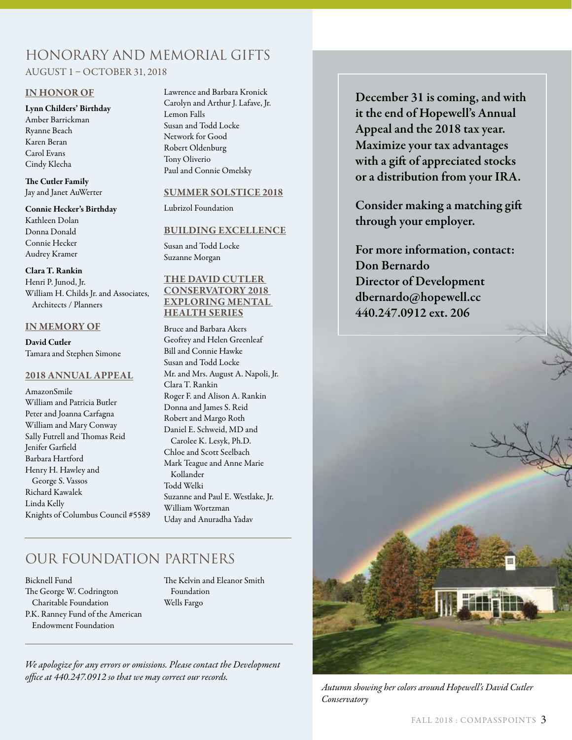### Honorary and Memorial Gifts AUGUST 1 – OCTOBER 31, 2018

#### IN HONOR OF

### Lynn Childers' Birthday

Amber Barrickman Ryanne Beach Karen Beran Carol Evans Cindy Klecha

The Cutler Family Jay and Janet AuWerter

#### Connie Hecker's Birthday

Kathleen Dolan Donna Donald Connie Hecker Audrey Kramer

#### Clara T. Rankin

Henri P. Junod, Jr. William H. Childs Jr. and Associates, Architects / Planners

### IN MEMORY OF

David Cutler Tamara and Stephen Simone

#### 2018 ANNUAL APPEAL

AmazonSmile William and Patricia Butler Peter and Joanna Carfagna William and Mary Conway Sally Futrell and Thomas Reid Jenifer Garfield Barbara Hartford Henry H. Hawley and George S. Vassos Richard Kawalek Linda Kelly Knights of Columbus Council #5589 Lawrence and Barbara Kronick Carolyn and Arthur J. Lafave, Jr. Lemon Falls Susan and Todd Locke Network for Good Robert Oldenburg Tony Oliverio Paul and Connie Omelsky

### SUMMER SOLSTICE 2018

Lubrizol Foundation

### BUILDING EXCELLENCE

Susan and Todd Locke Suzanne Morgan

### THE DAVID CUTLER CONSERVATORY 2018 EXPLORING MENTAL HEALTH SERIES

Bruce and Barbara Akers Geofrey and Helen Greenleaf Bill and Connie Hawke Susan and Todd Locke Mr. and Mrs. August A. Napoli, Jr. Clara T. Rankin Roger F. and Alison A. Rankin Donna and James S. Reid Robert and Margo Roth Daniel E. Schweid, MD and Carolee K. Lesyk, Ph.D. Chloe and Scott Seelbach Mark Teague and Anne Marie Kollander Todd Welki Suzanne and Paul E. Westlake, Jr. William Wortzman Uday and Anuradha Yadav

### OUR FOUNDATION PARTNERS

Bicknell Fund The George W. Codrington Charitable Foundation P.K. Ranney Fund of the American Endowment Foundation

The Kelvin and Eleanor Smith Foundation Wells Fargo

*We apologize for any errors or omissions. Please contact the Development office at 440.247.0912 so that we may correct our records.*

December 31 is coming, and with it the end of Hopewell's Annual Appeal and the 2018 tax year. Maximize your tax advantages with a gift of appreciated stocks or a distribution from your IRA.

Consider making a matching gift through your employer.

For more information, contact: Don Bernardo Director of Development dbernardo@hopewell.cc 440.247.0912 ext. 206



*Autumn showing her colors around Hopewell's David Cutler Conservatory*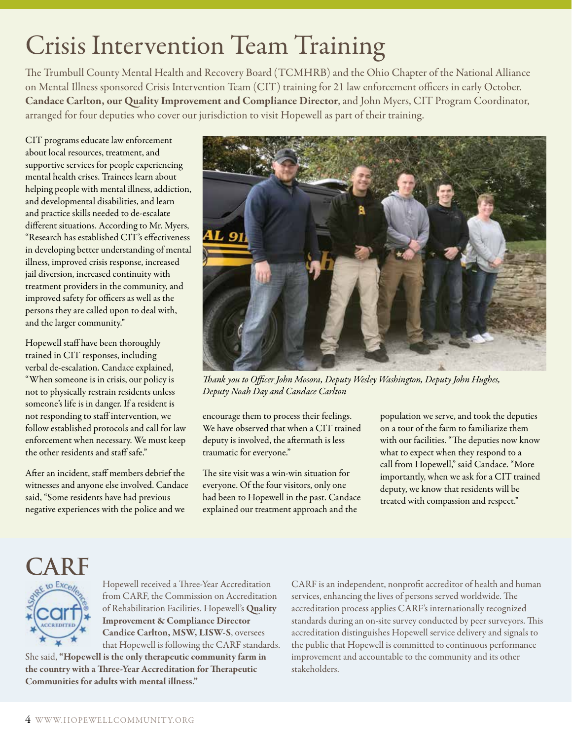# Crisis Intervention Team Training

The Trumbull County Mental Health and Recovery Board (TCMHRB) and the Ohio Chapter of the National Alliance on Mental Illness sponsored Crisis Intervention Team (CIT) training for 21 law enforcement officers in early October. Candace Carlton, our Quality Improvement and Compliance Director, and John Myers, CIT Program Coordinator, arranged for four deputies who cover our jurisdiction to visit Hopewell as part of their training.

CIT programs educate law enforcement about local resources, treatment, and supportive services for people experiencing mental health crises. Trainees learn about helping people with mental illness, addiction, and developmental disabilities, and learn and practice skills needed to de-escalate different situations. According to Mr. Myers, "Research has established CIT's effectiveness in developing better understanding of mental illness, improved crisis response, increased jail diversion, increased continuity with treatment providers in the community, and improved safety for officers as well as the persons they are called upon to deal with, and the larger community."

Hopewell staff have been thoroughly trained in CIT responses, including verbal de-escalation. Candace explained, "When someone is in crisis, our policy is not to physically restrain residents unless someone's life is in danger. If a resident is not responding to staff intervention, we follow established protocols and call for law enforcement when necessary. We must keep the other residents and staff safe."

After an incident, staff members debrief the witnesses and anyone else involved. Candace said, "Some residents have had previous negative experiences with the police and we



*Thank you to Officer John Mosora, Deputy Wesley Washington, Deputy John Hughes, Deputy Noah Day and Candace Carlton*

encourage them to process their feelings. We have observed that when a CIT trained deputy is involved, the aftermath is less traumatic for everyone."

The site visit was a win-win situation for everyone. Of the four visitors, only one had been to Hopewell in the past. Candace explained our treatment approach and the

population we serve, and took the deputies on a tour of the farm to familiarize them with our facilities. "The deputies now know what to expect when they respond to a call from Hopewell," said Candace. "More importantly, when we ask for a CIT trained deputy, we know that residents will be treated with compassion and respect."

## **CARF**



Hopewell received a Three-Year Accreditation from CARF, the Commission on Accreditation of Rehabilitation Facilities. Hopewell's Quality Improvement & Compliance Director Candice Carlton, MSW, LISW-S, oversees that Hopewell is following the CARF standards.

She said, "Hopewell is the only therapeutic community farm in the country with a Three-Year Accreditation for Therapeutic Communities for adults with mental illness."

CARF is an independent, nonprofit accreditor of health and human services, enhancing the lives of persons served worldwide. The accreditation process applies CARF's internationally recognized standards during an on-site survey conducted by peer surveyors. This accreditation distinguishes Hopewell service delivery and signals to the public that Hopewell is committed to continuous performance improvement and accountable to the community and its other stakeholders.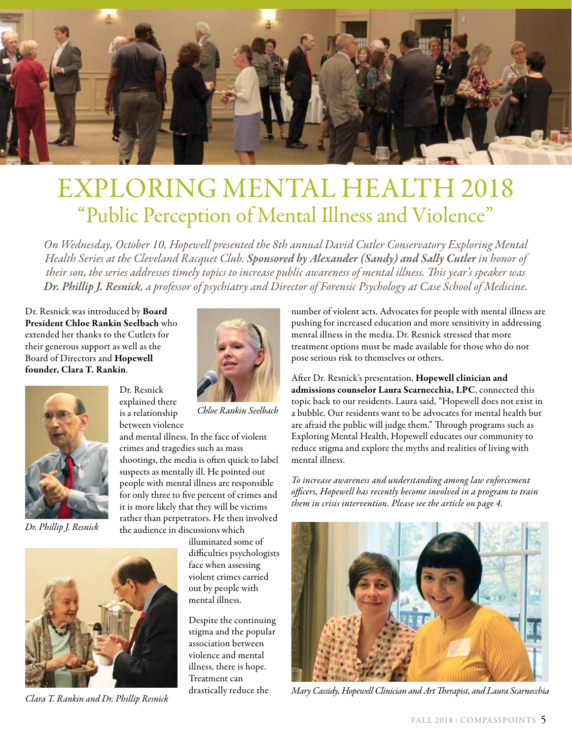

## EXPLORING MENTAL HEALTH 2018 "Public Perception of Mental Illness and Violence"

*On Wednesday, October 10, Hopewell presented the 8th annual David Cutler Conservatory Exploring Mental Health Series at the Cleveland Racquet Club. Sponsored by Alexander (Sandy) and Sally Cutler in honor of their son, the series addresses timely topics to increase public awareness of mental illness. This year's speaker was Dr. Phillip J. Resnick, a professor of psychiatry and Director of Forensic Psychology at Case School of Medicine.* 

Dr. Resnick was introduced by Board President Chloe Rankin Seelbach who extended her thanks to the Cutlers for their generous support as well as the Board of Directors and Hopewell founder, Clara T. Rankin.

> Dr. Resnick explained there is a relationship between violence



*Dr. Phillip J. Resnick*





*Chloe Rankin Seelbach* 

and mental illness. In the face of violent crimes and tragedies such as mass shootings, the media is often quick to label suspects as mentally ill. He pointed out people with mental illness are responsible for only three to five percent of crimes and it is more likely that they will be victims rather than perpetrators. He then involved the audience in discussions which

> illuminated some of difficulties psychologists face when assessing violent crimes carried out by people with mental illness.

Despite the continuing stigma and the popular association between violence and mental illness, there is hope. Treatment can drastically reduce the

number of violent acts. Advocates for people with mental illness are pushing for increased education and more sensitivity in addressing mental illness in the media. Dr. Resnick stressed that more treatment options must be made available for those who do not pose serious risk to themselves or others.

After Dr. Resnick's presentation, Hopewell clinician and admissions counselor Laura Scarnecchia, LPC, connected this topic back to our residents. Laura said, "Hopewell does not exist in a bubble. Our residents want to be advocates for mental health but are afraid the public will judge them." Through programs such as Exploring Mental Health, Hopewell educates our community to reduce stigma and explore the myths and realities of living with mental illness.

*To increase awareness and understanding among law enforcement officers, Hopewell has recently become involved in a program to train them in crisis intervention. Please see the article on page 4.*



*Clara T. Rankin and Dr. Phillip Resnick Mary Cassidy, Hopewell Clinician and Art Therapist, and Laura Scarnecchia*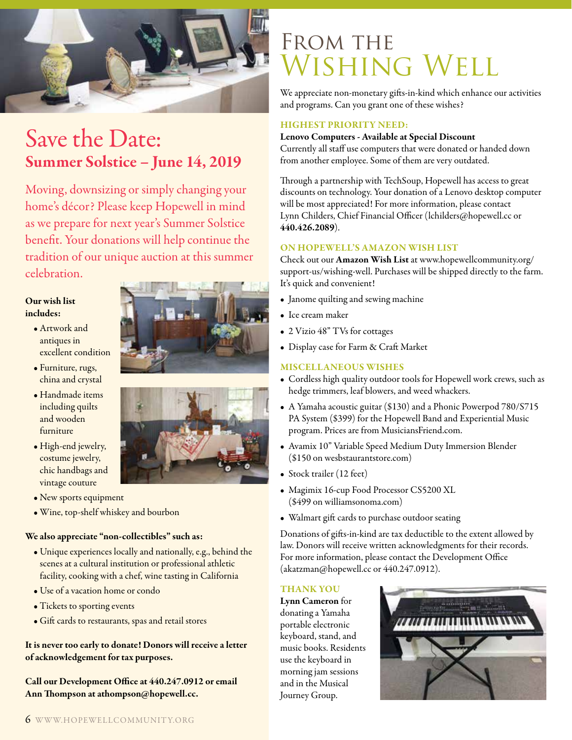

### Save the Date: Summer Solstice – June 14, 2019

Moving, downsizing or simply changing your home's décor? Please keep Hopewell in mind as we prepare for next year's Summer Solstice benefit. Your donations will help continue the tradition of our unique auction at this summer celebration.

### Our wish list includes:

- Artwork and antiques in excellent condition
- Furniture, rugs, china and crystal
- Handmade items including quilts and wooden furniture
- High-end jewelry, costume jewelry, chic handbags and vintage couture
- New sports equipment
- Wine, top-shelf whiskey and bourbon

### We also appreciate "non-collectibles" such as:

- Unique experiences locally and nationally, e.g., behind the scenes at a cultural institution or professional athletic facility, cooking with a chef, wine tasting in California
- Use of a vacation home or condo
- Tickets to sporting events
- Gift cards to restaurants, spas and retail stores

It is never too early to donate! Donors will receive a letter of acknowledgement for tax purposes.

Call our Development Office at 440.247.0912 or email Ann Thompson at athompson@hopewell.cc.

## FROM THE Wishing Well

We appreciate non-monetary gifts-in-kind which enhance our activities and programs. Can you grant one of these wishes?

### HIGHEST PRIORITY NEED:

### Lenovo Computers - Available at Special Discount

Currently all staff use computers that were donated or handed down from another employee. Some of them are very outdated.

Through a partnership with TechSoup, Hopewell has access to great discounts on technology. Your donation of a Lenovo desktop computer will be most appreciated! For more information, please contact Lynn Childers, Chief Financial Officer (lchilders@hopewell.cc or 440.426.2089).

### ON HOPEWELL'S AMAZON WISH LIST

Check out our Amazon Wish List at www.hopewellcommunity.org/ support-us/wishing-well. Purchases will be shipped directly to the farm. It's quick and convenient!

- Janome quilting and sewing machine
- Ice cream maker
- 2 Vizio 48" TVs for cottages
- Display case for Farm & Craft Market

### MISCELLANEOUS WISHES

- Cordless high quality outdoor tools for Hopewell work crews, such as hedge trimmers, leaf blowers, and weed whackers.
- A Yamaha acoustic guitar (\$130) and a Phonic Powerpod 780/S715 PA System (\$399) for the Hopewell Band and Experiential Music program. Prices are from MusiciansFriend.com.
- Avamix 10" Variable Speed Medium Duty Immersion Blender (\$150 on wesbstaurantstore.com)
- Stock trailer (12 feet)
- Magimix 16-cup Food Processor CS5200 XL (\$499 on williamsonoma.com)
- Walmart gift cards to purchase outdoor seating

Donations of gifts-in-kind are tax deductible to the extent allowed by law. Donors will receive written acknowledgments for their records. For more information, please contact the Development Office (akatzman@hopewell.cc or 440.247.0912).

### THANK YOU

Lynn Cameron for donating a Yamaha portable electronic keyboard, stand, and music books. Residents use the keyboard in morning jam sessions and in the Musical Journey Group.



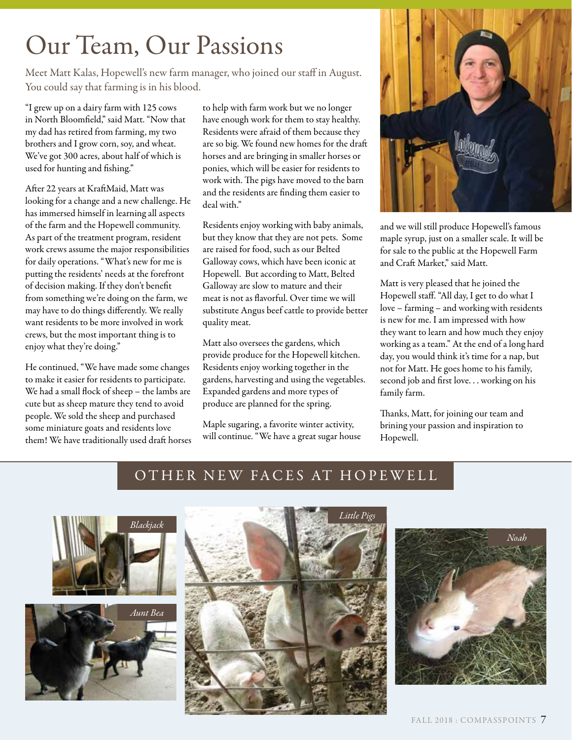# Our Team, Our Passions

Meet Matt Kalas, Hopewell's new farm manager, who joined our staff in August. You could say that farming is in his blood.

"I grew up on a dairy farm with 125 cows in North Bloomfield," said Matt. "Now that my dad has retired from farming, my two brothers and I grow corn, soy, and wheat. We've got 300 acres, about half of which is used for hunting and fishing."

After 22 years at KraftMaid, Matt was looking for a change and a new challenge. He has immersed himself in learning all aspects of the farm and the Hopewell community. As part of the treatment program, resident work crews assume the major responsibilities for daily operations. "What's new for me is putting the residents' needs at the forefront of decision making. If they don't benefit from something we're doing on the farm, we may have to do things differently. We really want residents to be more involved in work crews, but the most important thing is to enjoy what they're doing."

He continued, "We have made some changes to make it easier for residents to participate. We had a small flock of sheep – the lambs are cute but as sheep mature they tend to avoid people. We sold the sheep and purchased some miniature goats and residents love them! We have traditionally used draft horses to help with farm work but we no longer have enough work for them to stay healthy. Residents were afraid of them because they are so big. We found new homes for the draft horses and are bringing in smaller horses or ponies, which will be easier for residents to work with. The pigs have moved to the barn and the residents are finding them easier to deal with."

Residents enjoy working with baby animals, but they know that they are not pets. Some are raised for food, such as our Belted Galloway cows, which have been iconic at Hopewell. But according to Matt, Belted Galloway are slow to mature and their meat is not as flavorful. Over time we will substitute Angus beef cattle to provide better quality meat.

Matt also oversees the gardens, which provide produce for the Hopewell kitchen. Residents enjoy working together in the gardens, harvesting and using the vegetables. Expanded gardens and more types of produce are planned for the spring.

Maple sugaring, a favorite winter activity, will continue. "We have a great sugar house



and we will still produce Hopewell's famous maple syrup, just on a smaller scale. It will be for sale to the public at the Hopewell Farm and Craft Market," said Matt.

Matt is very pleased that he joined the Hopewell staff. "All day, I get to do what I love – farming – and working with residents is new for me. I am impressed with how they want to learn and how much they enjoy working as a team." At the end of a long hard day, you would think it's time for a nap, but not for Matt. He goes home to his family, second job and first love. . . working on his family farm.

Thanks, Matt, for joining our team and brining your passion and inspiration to Hopewell.

### OTHER NEW FACES AT HOPEWELL